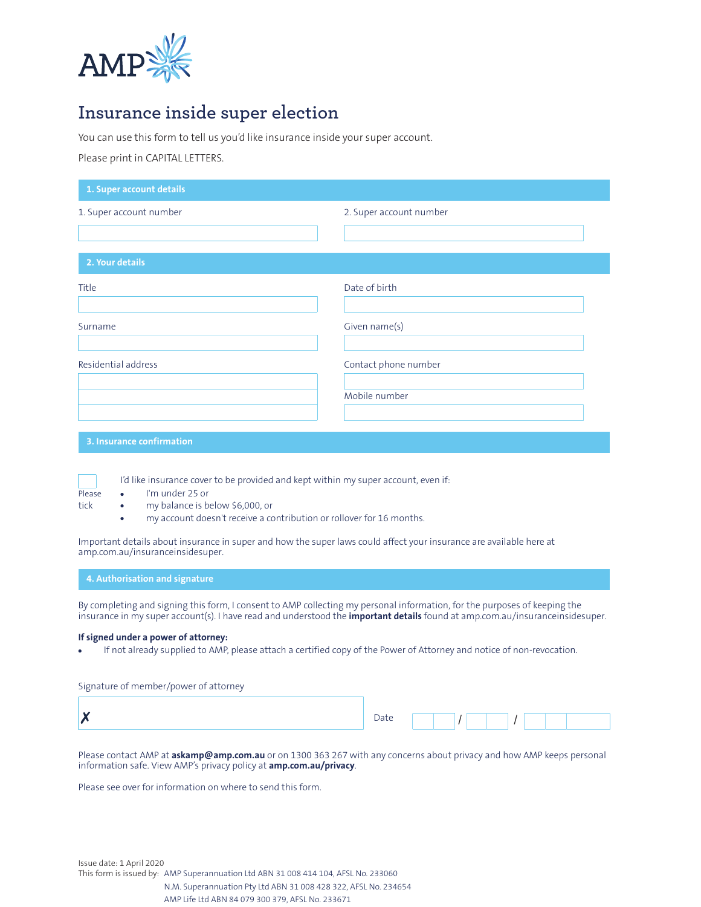

## **Insurance inside super election**

You can use this form to tell us you'd like insurance inside your super account.

Please print in CAPITAL LETTERS.

| 1. Super account details  |                         |
|---------------------------|-------------------------|
| 1. Super account number   | 2. Super account number |
| 2. Your details           |                         |
| Title                     | Date of birth           |
| Surname                   | Given name(s)           |
| Residential address       | Contact phone number    |
|                           | Mobile number           |
| 3. Insurance confirmation |                         |



- Please I'm under 25 or
- tick my balance is below \$6,000, or
	- my account doesn't receive a contribution or rollover for 16 months.

I'd like insurance cover to be provided and kept within my super account, even if:

Important details about insurance in super and how the super laws could affect your insurance are available here at amp.com.au/insuranceinsidesuper.

**4. Authorisation and signature**

By completing and signing this form, I consent to AMP collecting my personal information, for the purposes of keeping the insurance in my super account(s). I have read and understood the **important details** found at amp.com.au/insuranceinsidesuper.

## **If signed under a power of attorney:**

If not already supplied to AMP, please attach a certified copy of the Power of Attorney and notice of non-revocation.

Signature of member/power of attorney

| Date |  |  |
|------|--|--|
|      |  |  |
|      |  |  |

Please contact AMP at **askamp@amp.com.au** or on 1300 363 267 with any concerns about privacy and how AMP keeps personal information safe. View AMP's privacy policy at **amp.com.au/privacy**.

Please see over for information on where to send this form.